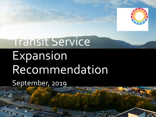

# Transit Service Expansion Recommendation

September, 2019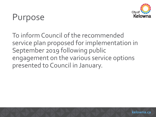

# Purpose

To inform Council of the recommended service plan proposed for implementation in September 2019 following public engagement on the various service options presented to Council in January.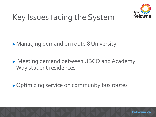

# Key Issues facing the System

Managing demand on route 8 University

▶ Meeting demand between UBCO and Academy Way student residences

▶ Optimizing service on community bus routes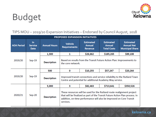

# Budget

#### TIPS MOU – 2019/20 Expansion Initiatives – Endorsed by Council August, 2018

| <b>PROPOSED EXPANSION INITIATIVES</b> |                                            |                     |                                                                                                                                                                                                                                            |                                              |                                                         |                                                                 |
|---------------------------------------|--------------------------------------------|---------------------|--------------------------------------------------------------------------------------------------------------------------------------------------------------------------------------------------------------------------------------------|----------------------------------------------|---------------------------------------------------------|-----------------------------------------------------------------|
| <b>AOA Period</b>                     | <b>In</b><br><b>Service</b><br><b>Date</b> | <b>Annual Hours</b> | <b>Vehicle</b><br><b>Requirements</b>                                                                                                                                                                                                      | <b>Estimated</b><br><b>Annual</b><br>Revenue | <b>Estimated</b><br><b>Annual</b><br><b>Total Costs</b> | <b>Estimated</b><br><b>Annual Net</b><br><b>Municipal Share</b> |
| 2019/20                               | $Sep-19$                                   | 1,300               | 1                                                                                                                                                                                                                                          | \$26,662                                     | \$185,265                                               | \$89,108                                                        |
|                                       |                                            | <b>Description</b>  | Based on results from the Transit Future Action Plan: Improvements to<br>the core network.                                                                                                                                                 |                                              |                                                         |                                                                 |
| 2019/20                               | $Sep-19$                                   | 500                 | 0                                                                                                                                                                                                                                          | \$10,255                                     | \$57,247                                                | \$20,264                                                        |
|                                       |                                            | <b>Description</b>  | Improved transit connections and service reliability to the Rutland Town<br>Centre and potential for additional Academy Way service.                                                                                                       |                                              |                                                         |                                                                 |
| 2020/21                               | $Sep-20$                                   | 5,000               | 3                                                                                                                                                                                                                                          | \$82,463                                     | \$713,641                                               | \$350,526                                                       |
|                                       |                                            | <b>Description</b>  | These resources will be used for the Rutland route realignment project<br>that will be finalized as part of the Transit Future Action Plan process. In<br>addition, on-time performance will also be improved on Core Transit<br>services. |                                              |                                                         |                                                                 |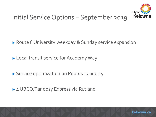

### Initial Service Options – September 2019

▶ Route 8 University weekday & Sunday service expansion

Local transit service for Academy Way

▶ Service optimization on Routes 13 and 15

► 4 UBCO/Pandosy Express via Rutland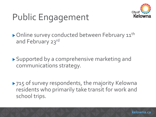

# Public Engagement

Online survey conducted between February 11<sup>th</sup> and February 23rd

▶ Supported by a comprehensive marketing and communications strategy.

▶ 715 of survey respondents, the majority Kelowna residents who primarily take transit for work and school trips.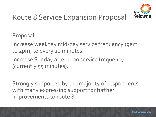

## Route 8 Service Expansion Proposal

Proposal:

- Increase weekday mid-day service frequency (9am to 2pm) to every 20 minutes.
- Increase Sunday afternoon service frequency (currently 55 minutes).

Strongly supported by the majority of respondents with many expressing support for further improvements to route 8.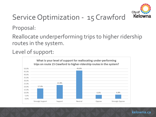

# Service Optimization - 15 Crawford

Proposal:

Reallocate underperforming trips to higher ridership routes in the system.

Level of support:

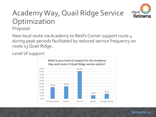

# Academy Way, Quail Ridge Service Optimization

Proposal:

New local route via Academy to Reid's Corner support route 4 during peak periods facilitated by reduced service frequency on route 13 Quail Ridge.

Level of support:



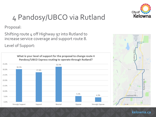

# 4 Pandosy/UBCO via Rutland

Proposal:

Shifting route 4 off Highway 97 into Rutland to increase service coverage and support route 8.

Level of Support:

What is your level of support for the proposal to change route 4 Pandosy/UBCO Express routing to operate through Rutland?